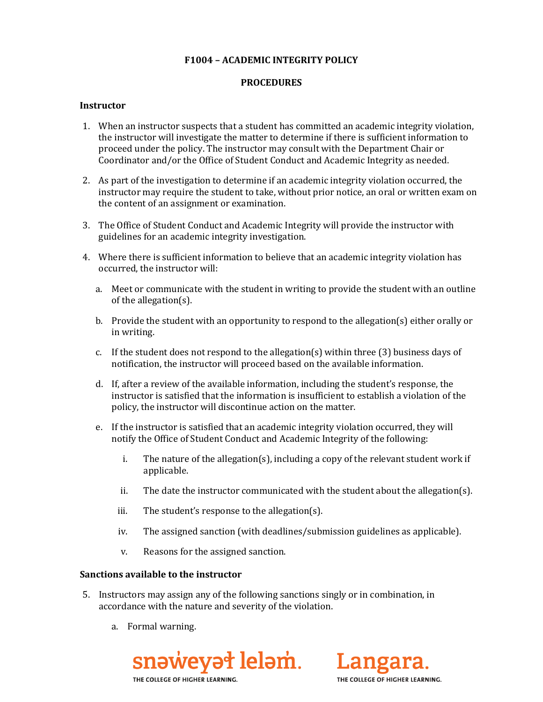### **F1004 – ACADEMIC INTEGRITY POLICY**

## **PROCEDURES**

#### **Instructor**

- 1. When an instructor suspects that a student has committed an academic integrity violation, the instructor will investigate the matter to determine if there is sufficient information to proceed under the policy. The instructor may consult with the Department Chair or Coordinator and/or the Office of Student Conduct and Academic Integrity as needed.
- 2. As part of the investigation to determine if an academic integrity violation occurred, the instructor may require the student to take, without prior notice, an oral or written exam on the content of an assignment or examination.
- 3. The Office of Student Conduct and Academic Integrity will provide the instructor with guidelines for an academic integrity investigation.
- 4. Where there is sufficient information to believe that an academic integrity violation has occurred, the instructor will:
	- a. Meet or communicate with the student in writing to provide the student with an outline of the allegation(s).
	- b. Provide the student with an opportunity to respond to the allegation(s) either orally or in writing.
	- c. If the student does not respond to the allegation(s) within three (3) business days of notification, the instructor will proceed based on the available information.
	- d. If, after a review of the available information, including the student's response, the instructor is satisfied that the information is insufficient to establish a violation of the policy, the instructor will discontinue action on the matter.
	- e. If the instructor is satisfied that an academic integrity violation occurred, they will notify the Office of Student Conduct and Academic Integrity of the following:
		- i. The nature of the allegation(s), including a copy of the relevant student work if applicable.
		- ii. The date the instructor communicated with the student about the allegation(s).
		- iii. The student's response to the allegation(s).
		- iv. The assigned sanction (with deadlines/submission guidelines as applicable).
		- v. Reasons for the assigned sanction.

#### **Sanctions available to the instructor**

- 5. Instructors may assign any of the following sanctions singly or in combination, in accordance with the nature and severity of the violation.
	- a. Formal warning.



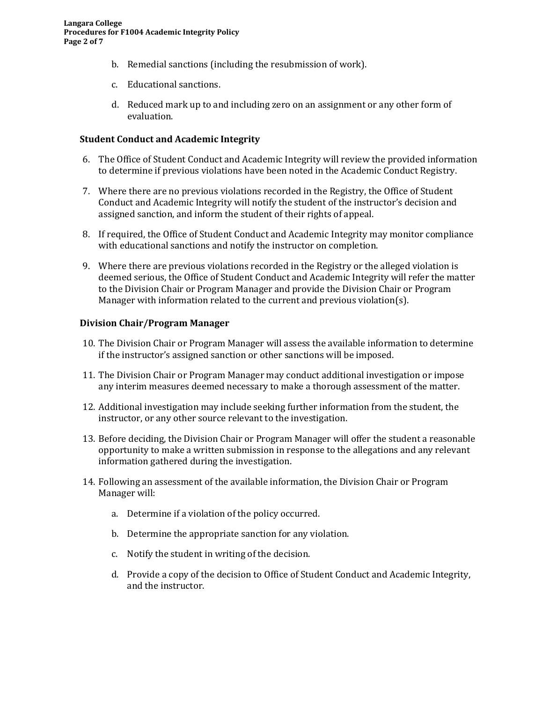- b. Remedial sanctions (including the resubmission of work).
- c. Educational sanctions.
- d. Reduced mark up to and including zero on an assignment or any other form of evaluation.

### **Student Conduct and Academic Integrity**

- 6. The Office of Student Conduct and Academic Integrity will review the provided information to determine if previous violations have been noted in the Academic Conduct Registry.
- 7. Where there are no previous violations recorded in the Registry, the Office of Student Conduct and Academic Integrity will notify the student of the instructor's decision and assigned sanction, and inform the student of their rights of appeal.
- 8. If required, the Office of Student Conduct and Academic Integrity may monitor compliance with educational sanctions and notify the instructor on completion.
- 9. Where there are previous violations recorded in the Registry or the alleged violation is deemed serious, the Office of Student Conduct and Academic Integrity will refer the matter to the Division Chair or Program Manager and provide the Division Chair or Program Manager with information related to the current and previous violation(s).

#### **Division Chair/Program Manager**

- 10. The Division Chair or Program Manager will assess the available information to determine if the instructor's assigned sanction or other sanctions will be imposed.
- 11. The Division Chair or Program Manager may conduct additional investigation or impose any interim measures deemed necessary to make a thorough assessment of the matter.
- 12. Additional investigation may include seeking further information from the student, the instructor, or any other source relevant to the investigation.
- 13. Before deciding, the Division Chair or Program Manager will offer the student a reasonable opportunity to make a written submission in response to the allegations and any relevant information gathered during the investigation.
- 14. Following an assessment of the available information, the Division Chair or Program Manager will:
	- a. Determine if a violation of the policy occurred.
	- b. Determine the appropriate sanction for any violation.
	- c. Notify the student in writing of the decision.
	- d. Provide a copy of the decision to Office of Student Conduct and Academic Integrity, and the instructor.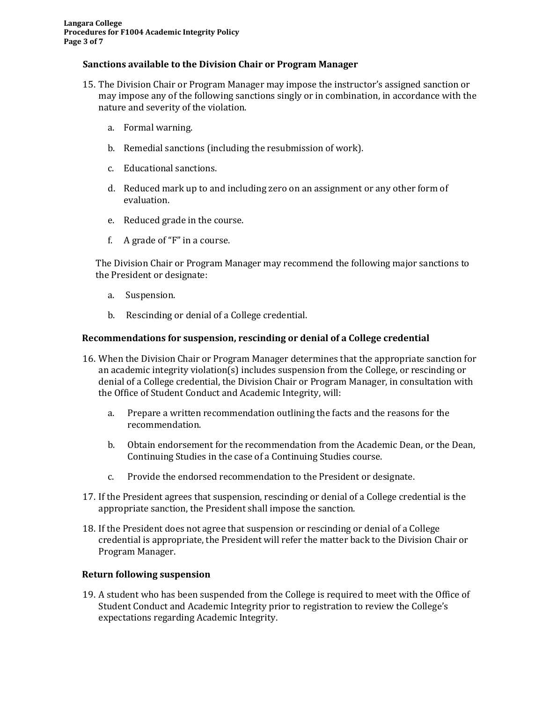## **Sanctions available to the Division Chair or Program Manager**

- 15. The Division Chair or Program Manager may impose the instructor's assigned sanction or may impose any of the following sanctions singly or in combination, in accordance with the nature and severity of the violation.
	- a. Formal warning.
	- b. Remedial sanctions (including the resubmission of work).
	- c. Educational sanctions.
	- d. Reduced mark up to and including zero on an assignment or any other form of evaluation.
	- e. Reduced grade in the course.
	- f. A grade of "F" in a course.

The Division Chair or Program Manager may recommend the following major sanctions to the President or designate:

- a. Suspension.
- b. Rescinding or denial of a College credential.

#### **Recommendations for suspension, rescinding or denial of a College credential**

- 16. When the Division Chair or Program Manager determines that the appropriate sanction for an academic integrity violation(s) includes suspension from the College, or rescinding or denial of a College credential, the Division Chair or Program Manager, in consultation with the Office of Student Conduct and Academic Integrity, will:
	- a. Prepare a written recommendation outlining the facts and the reasons for the recommendation.
	- b. Obtain endorsement for the recommendation from the Academic Dean, or the Dean, Continuing Studies in the case of a Continuing Studies course.
	- c. Provide the endorsed recommendation to the President or designate.
- 17. If the President agrees that suspension, rescinding or denial of a College credential is the appropriate sanction, the President shall impose the sanction.
- 18. If the President does not agree that suspension or rescinding or denial of a College credential is appropriate, the President will refer the matter back to the Division Chair or Program Manager.

#### **Return following suspension**

19. A student who has been suspended from the College is required to meet with the Office of Student Conduct and Academic Integrity prior to registration to review the College's expectations regarding Academic Integrity.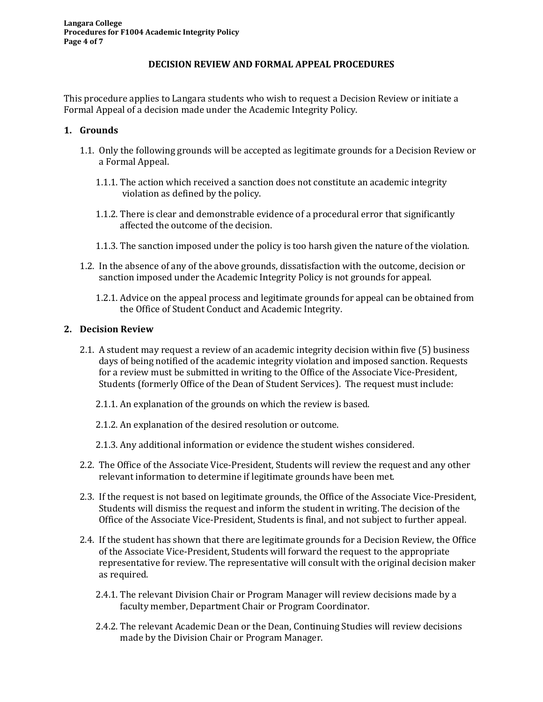### **DECISION REVIEW AND FORMAL APPEAL PROCEDURES**

This procedure applies to Langara students who wish to request a Decision Review or initiate a Formal Appeal of a decision made under the Academic Integrity Policy.

### **1. Grounds**

- 1.1. Only the following grounds will be accepted as legitimate grounds for a Decision Review or a Formal Appeal.
	- 1.1.1. The action which received a sanction does not constitute an academic integrity violation as defined by the policy.
	- 1.1.2. There is clear and demonstrable evidence of a procedural error that significantly affected the outcome of the decision.
	- 1.1.3. The sanction imposed under the policy is too harsh given the nature of the violation.
- 1.2. In the absence of any of the above grounds, dissatisfaction with the outcome, decision or sanction imposed under the Academic Integrity Policy is not grounds for appeal.
	- 1.2.1. Advice on the appeal process and legitimate grounds for appeal can be obtained from the Office of Student Conduct and Academic Integrity.

#### **2. Decision Review**

- 2.1. A student may request a review of an academic integrity decision within five (5) business days of being notified of the academic integrity violation and imposed sanction. Requests for a review must be submitted in writing to the Office of the Associate Vice-President, Students (formerly Office of the Dean of Student Services). The request must include:
	- 2.1.1. An explanation of the grounds on which the review is based.
	- 2.1.2. An explanation of the desired resolution or outcome.
	- 2.1.3. Any additional information or evidence the student wishes considered.
- 2.2. The Office of the Associate Vice-President, Students will review the request and any other relevant information to determine if legitimate grounds have been met.
- 2.3. If the request is not based on legitimate grounds, the Office of the Associate Vice-President, Students will dismiss the request and inform the student in writing. The decision of the Office of the Associate Vice-President, Students is final, and not subject to further appeal.
- 2.4. If the student has shown that there are legitimate grounds for a Decision Review, the Office of the Associate Vice-President, Students will forward the request to the appropriate representative for review. The representative will consult with the original decision maker as required.
	- 2.4.1. The relevant Division Chair or Program Manager will review decisions made by a faculty member, Department Chair or Program Coordinator.
	- 2.4.2. The relevant Academic Dean or the Dean, Continuing Studies will review decisions made by the Division Chair or Program Manager.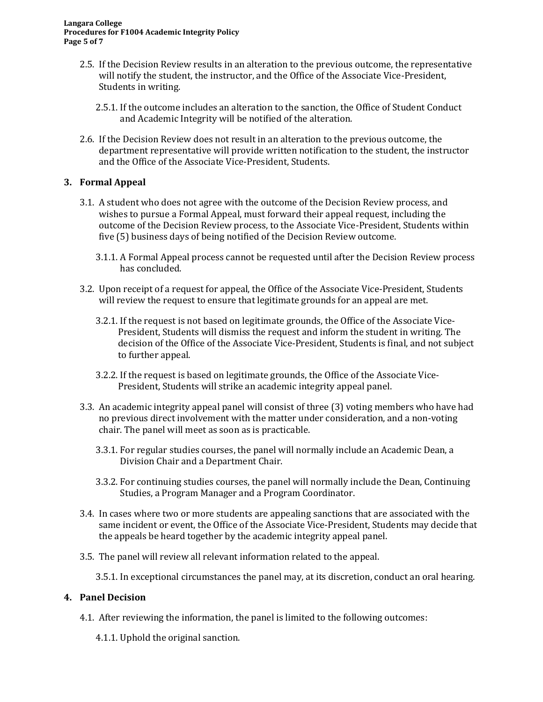- 2.5. If the Decision Review results in an alteration to the previous outcome, the representative will notify the student, the instructor, and the Office of the Associate Vice-President, Students in writing.
	- 2.5.1. If the outcome includes an alteration to the sanction, the Office of Student Conduct and Academic Integrity will be notified of the alteration.
- 2.6. If the Decision Review does not result in an alteration to the previous outcome, the department representative will provide written notification to the student, the instructor and the Office of the Associate Vice-President, Students.

## **3. Formal Appeal**

- 3.1. A student who does not agree with the outcome of the Decision Review process, and wishes to pursue a Formal Appeal, must forward their appeal request, including the outcome of the Decision Review process, to the Associate Vice-President, Students within five (5) business days of being notified of the Decision Review outcome.
	- 3.1.1. A Formal Appeal process cannot be requested until after the Decision Review process has concluded.
- 3.2. Upon receipt of a request for appeal, the Office of the Associate Vice-President, Students will review the request to ensure that legitimate grounds for an appeal are met.
	- 3.2.1. If the request is not based on legitimate grounds, the Office of the Associate Vice-President, Students will dismiss the request and inform the student in writing. The decision of the Office of the Associate Vice-President, Students is final, and not subject to further appeal.
	- 3.2.2. If the request is based on legitimate grounds, the Office of the Associate Vice-President, Students will strike an academic integrity appeal panel.
- 3.3. An academic integrity appeal panel will consist of three (3) voting members who have had no previous direct involvement with the matter under consideration, and a non-voting chair. The panel will meet as soon as is practicable.
	- 3.3.1. For regular studies courses, the panel will normally include an Academic Dean, a Division Chair and a Department Chair.
	- 3.3.2. For continuing studies courses, the panel will normally include the Dean, Continuing Studies, a Program Manager and a Program Coordinator.
- 3.4. In cases where two or more students are appealing sanctions that are associated with the same incident or event, the Office of the Associate Vice-President, Students may decide that the appeals be heard together by the academic integrity appeal panel.
- 3.5. The panel will review all relevant information related to the appeal.
	- 3.5.1. In exceptional circumstances the panel may, at its discretion, conduct an oral hearing.

# **4. Panel Decision**

- 4.1. After reviewing the information, the panel is limited to the following outcomes:
	- 4.1.1. Uphold the original sanction.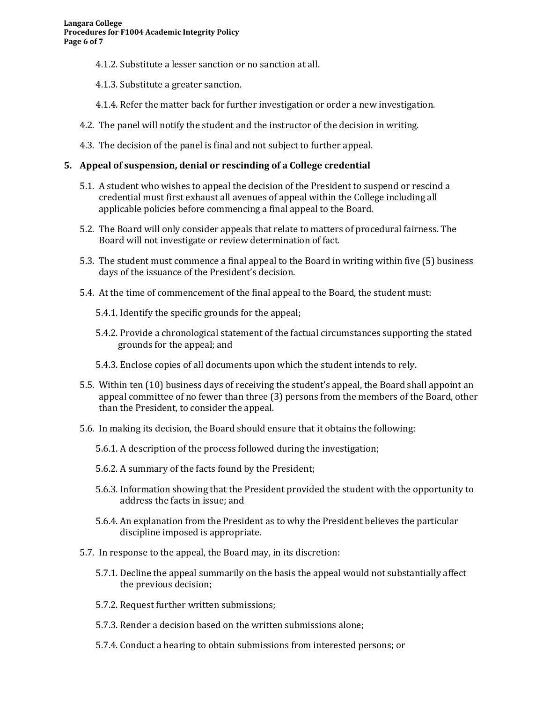- 4.1.2. Substitute a lesser sanction or no sanction at all.
- 4.1.3. Substitute a greater sanction.
- 4.1.4. Refer the matter back for further investigation or order a new investigation.
- 4.2. The panel will notify the student and the instructor of the decision in writing.
- 4.3. The decision of the panel is final and not subject to further appeal.

## **5. Appeal of suspension, denial or rescinding of a College credential**

- 5.1. A student who wishes to appeal the decision of the President to suspend or rescind a credential must first exhaust all avenues of appeal within the College including all applicable policies before commencing a final appeal to the Board.
- 5.2. The Board will only consider appeals that relate to matters of procedural fairness. The Board will not investigate or review determination of fact.
- 5.3. The student must commence a final appeal to the Board in writing within five (5) business days of the issuance of the President's decision.
- 5.4. At the time of commencement of the final appeal to the Board, the student must:
	- 5.4.1. Identify the specific grounds for the appeal;
	- 5.4.2. Provide a chronological statement of the factual circumstances supporting the stated grounds for the appeal; and
	- 5.4.3. Enclose copies of all documents upon which the student intends to rely.
- 5.5. Within ten (10) business days of receiving the student's appeal, the Board shall appoint an appeal committee of no fewer than three (3) persons from the members of the Board, other than the President, to consider the appeal.
- 5.6. In making its decision, the Board should ensure that it obtains the following:
	- 5.6.1. A description of the process followed during the investigation;
	- 5.6.2. A summary of the facts found by the President;
	- 5.6.3. Information showing that the President provided the student with the opportunity to address the facts in issue; and
	- 5.6.4. An explanation from the President as to why the President believes the particular discipline imposed is appropriate.
- 5.7. In response to the appeal, the Board may, in its discretion:
	- 5.7.1. Decline the appeal summarily on the basis the appeal would not substantially affect the previous decision;
	- 5.7.2. Request further written submissions;
	- 5.7.3. Render a decision based on the written submissions alone;
	- 5.7.4. Conduct a hearing to obtain submissions from interested persons; or